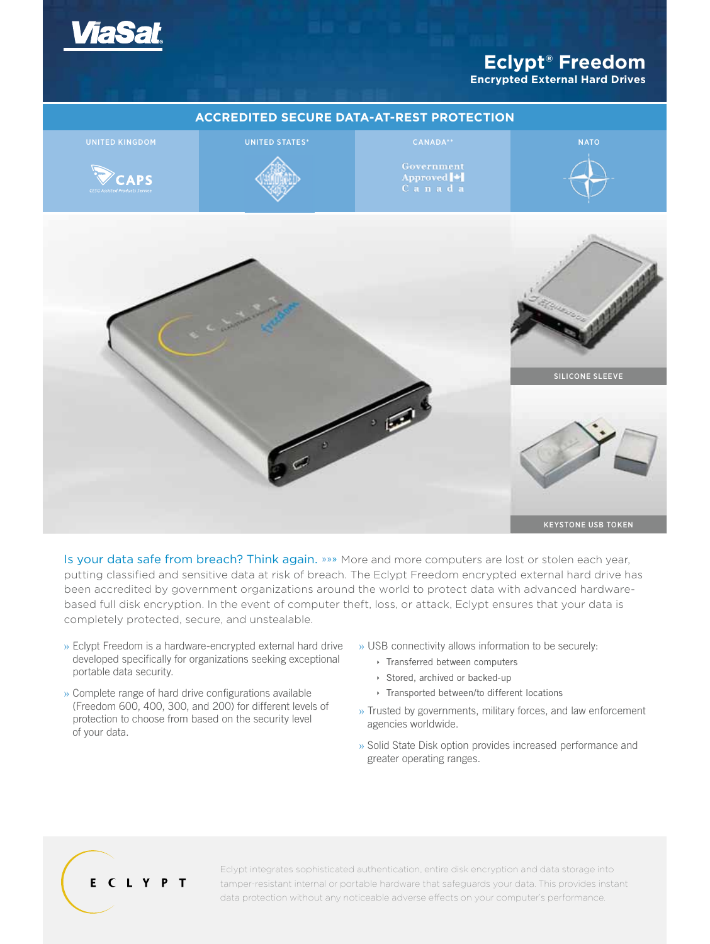

# **Eclypt® Freedom**

**Encrypted External Hard Drives**



Is your data safe from breach? Think again. »»» More and more computers are lost or stolen each year, putting classified and sensitive data at risk of breach. The Eclypt Freedom encrypted external hard drive has been accredited by government organizations around the world to protect data with advanced hardwarebased full disk encryption. In the event of computer theft, loss, or attack, Eclypt ensures that your data is completely protected, secure, and unstealable.

- » Eclypt Freedom is a hardware-encrypted external hard drive developed specifically for organizations seeking exceptional portable data security.
- » Complete range of hard drive configurations available (Freedom 600, 400, 300, and 200) for different levels of protection to choose from based on the security level of your data.
- » USB connectivity allows information to be securely:
	- **Transferred between computers**
	- Stored, archived or backed-up
	- **Transported between/to different locations**
- » Trusted by governments, military forces, and law enforcement agencies worldwide.
- » Solid State Disk option provides increased performance and greater operating ranges.

# ECLYPT

Eclypt integrates sophisticated authentication, entire disk encryption and data storage into tamper-resistant internal or portable hardware that safeguards your data. This provides instant data protection without any noticeable adverse effects on your computer's performance.